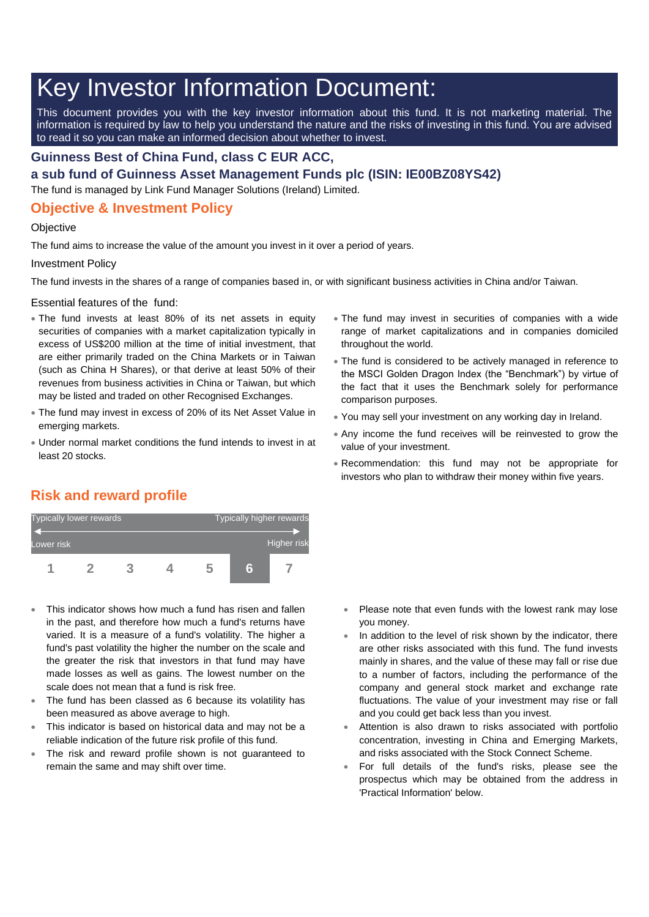# Key Investor Information Document:

This document provides you with the key investor information about this fund. It is not marketing material. The information is required by law to help you understand the nature and the risks of investing in this fund. You are advised to read it so you can make an informed decision about whether to invest.

### **Guinness Best of China Fund, class C EUR ACC,**

**a sub fund of Guinness Asset Management Funds plc (ISIN: IE00BZ08YS42)**

The fund is managed by Link Fund Manager Solutions (Ireland) Limited.

## **Objective & Investment Policy**

#### **Objective**

The fund aims to increase the value of the amount you invest in it over a period of years.

#### Investment Policy

The fund invests in the shares of a range of companies based in, or with significant business activities in China and/or Taiwan.

Essential features of the fund:

- The fund invests at least 80% of its net assets in equity securities of companies with a market capitalization typically in excess of US\$200 million at the time of initial investment, that are either primarily traded on the China Markets or in Taiwan (such as China H Shares), or that derive at least 50% of their revenues from business activities in China or Taiwan, but which may be listed and traded on other Recognised Exchanges.
- The fund may invest in excess of 20% of its Net Asset Value in emerging markets.
- Under normal market conditions the fund intends to invest in at least 20 stocks.
- The fund may invest in securities of companies with a wide range of market capitalizations and in companies domiciled throughout the world.
- The fund is considered to be actively managed in reference to the MSCI Golden Dragon Index (the "Benchmark") by virtue of the fact that it uses the Benchmark solely for performance comparison purposes.
- You may sell your investment on any working day in Ireland.
- Any income the fund receives will be reinvested to grow the value of your investment.
- Recommendation: this fund may not be appropriate for investors who plan to withdraw their money within five years.

# **Risk and reward profile**



- This indicator shows how much a fund has risen and fallen in the past, and therefore how much a fund's returns have varied. It is a measure of a fund's volatility. The higher a fund's past volatility the higher the number on the scale and the greater the risk that investors in that fund may have made losses as well as gains. The lowest number on the scale does not mean that a fund is risk free.
- The fund has been classed as 6 because its volatility has been measured as above average to high.
- This indicator is based on historical data and may not be a reliable indication of the future risk profile of this fund.
- The risk and reward profile shown is not guaranteed to remain the same and may shift over time.
- Please note that even funds with the lowest rank may lose you money.
- In addition to the level of risk shown by the indicator, there are other risks associated with this fund. The fund invests mainly in shares, and the value of these may fall or rise due to a number of factors, including the performance of the company and general stock market and exchange rate fluctuations. The value of your investment may rise or fall and you could get back less than you invest.
- Attention is also drawn to risks associated with portfolio concentration, investing in China and Emerging Markets, and risks associated with the Stock Connect Scheme.
- For full details of the fund's risks, please see the prospectus which may be obtained from the address in 'Practical Information' below.